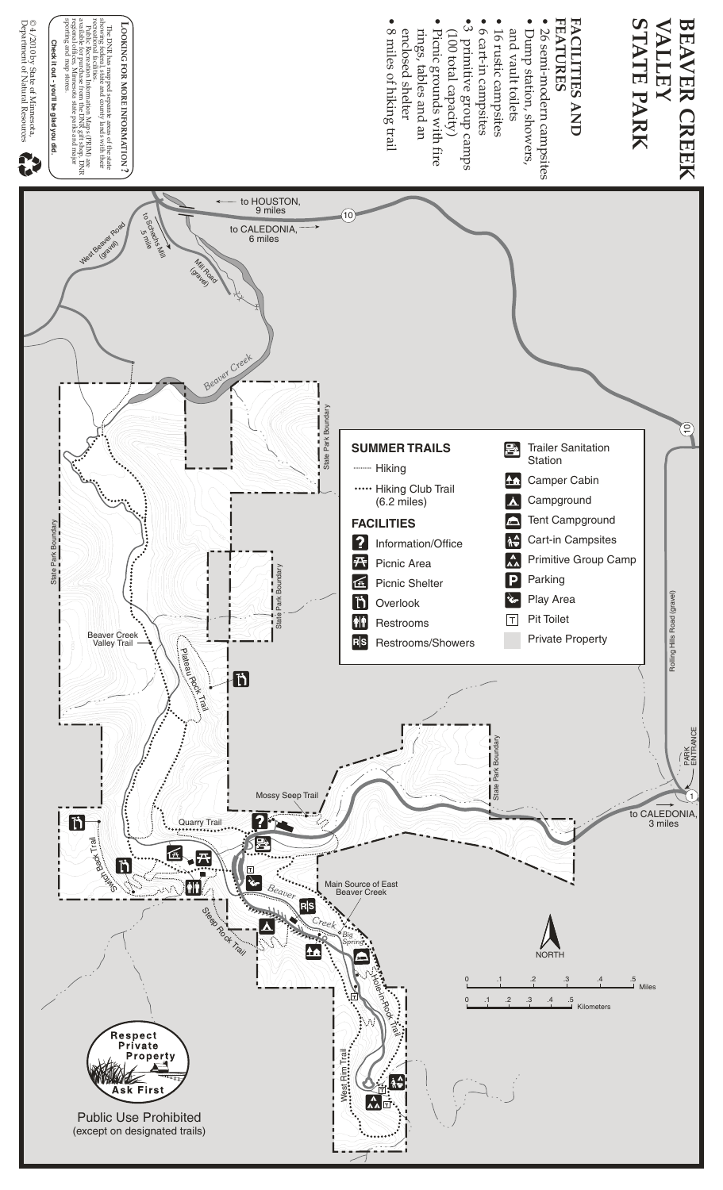